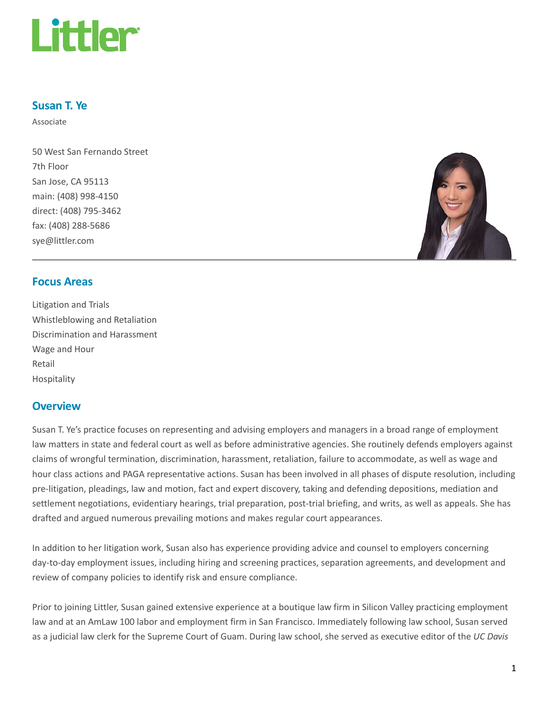

#### Susan T. Ye

Associate

50 West San Fernando Street 7th Floor San Jose, CA 95113 main: (408) 998-4150 direct: (408) 795-3462 fax: (408) 288-5686 sye@littler.com



#### Focus Areas

Litigation and Trials Whistleblowing and Retaliation Discrimination and Harassment Wage and Hour Retail Hospitality

#### **Overview**

Susan T. Ye's practice focuses on representing and advising employers and managers in a broad range of employment law matters in state and federal court as well as before administrative agencies. She routinely defends employers against claims of wrongful termination, discrimination, harassment, retaliation, failure to accommodate, as well as wage and hour class actions and PAGA representative actions. Susan has been involved in all phases of dispute resolution, including pre-litigation, pleadings, law and motion, fact and expert discovery, taking and defending depositions, mediation and settlement negotiations, evidentiary hearings, trial preparation, post-trial briefing, and writs, as well as appeals. She has drafted and argued numerous prevailing motions and makes regular court appearances.

In addition to her litigation work, Susan also has experience providing advice and counsel to employers concerning day-to-day employment issues, including hiring and screening practices, separation agreements, and development and review of company policies to identify risk and ensure compliance.

Prior to joining Littler, Susan gained extensive experience at a boutique law firm in Silicon Valley practicing employment law and at an AmLaw 100 labor and employment firm in San Francisco. Immediately following law school, Susan served as a judicial law clerk for the Supreme Court of Guam. During law school, she served as executive editor of the UC Davis